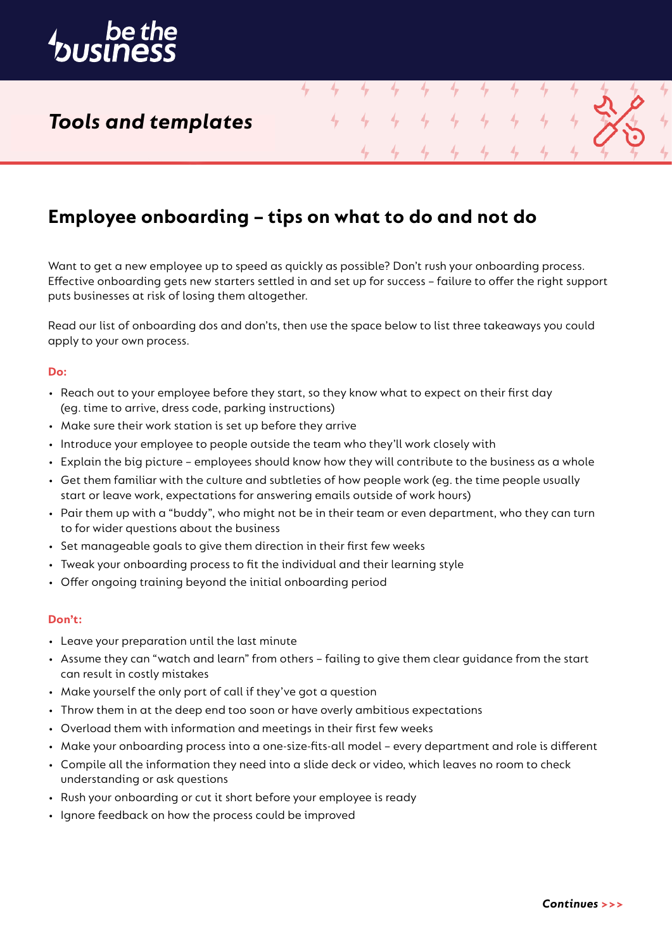

# *Tools and templates*

## **Employee onboarding – tips on what to do and not do**

4

4

4

4

Want to get a new employee up to speed as quickly as possible? Don't rush your onboarding process. Effective onboarding gets new starters settled in and set up for success – failure to offer the right support puts businesses at risk of losing them altogether.

Read our list of onboarding dos and don'ts, then use the space below to list three takeaways you could apply to your own process.

#### **Do:**

- Reach out to your employee before they start, so they know what to expect on their first day (eg. time to arrive, dress code, parking instructions)
- Make sure their work station is set up before they arrive
- Introduce your employee to people outside the team who they'll work closely with
- Explain the big picture employees should know how they will contribute to the business as a whole
- Get them familiar with the culture and subtleties of how people work (eg. the time people usually start or leave work, expectations for answering emails outside of work hours)
- Pair them up with a "buddy", who might not be in their team or even department, who they can turn to for wider questions about the business
- Set manageable goals to give them direction in their first few weeks
- Tweak your onboarding process to fit the individual and their learning style
- Offer ongoing training beyond the initial onboarding period

#### **Don't:**

- Leave your preparation until the last minute
- Assume they can "watch and learn" from others failing to give them clear guidance from the start can result in costly mistakes
- Make yourself the only port of call if they've got a question
- Throw them in at the deep end too soon or have overly ambitious expectations
- Overload them with information and meetings in their first few weeks
- Make your onboarding process into a one-size-fits-all model every department and role is different
- Compile all the information they need into a slide deck or video, which leaves no room to check understanding or ask questions
- Rush your onboarding or cut it short before your employee is ready
- Ignore feedback on how the process could be improved